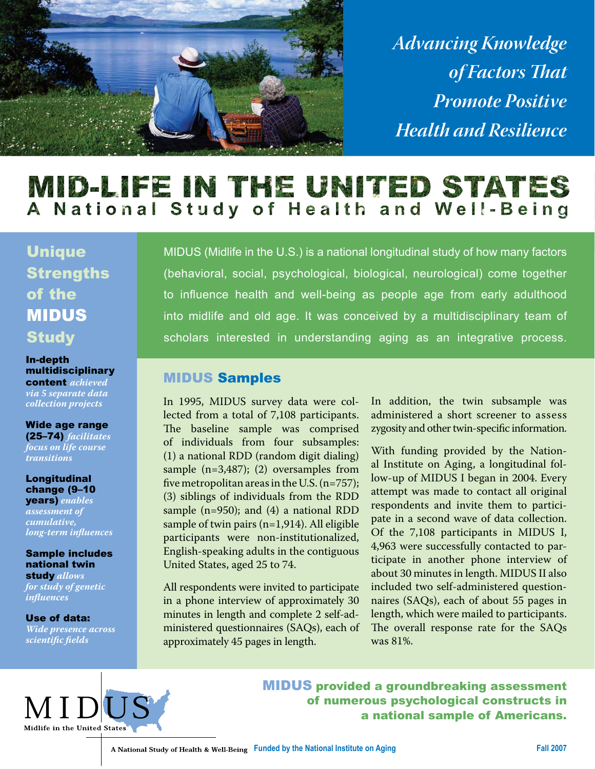

*Advancing Knowledge of Factors That Promote Positive Health and Resilience*

# MID-LIFE IN THE UNITED STATES A National Study of Health and Well-Being

Unique **Strengths** of the MIDUS **Study** 

In-depth multidisciplinary content *achieved via 5 separate data collection projects*

Wide age range (25–74) *facilitates focus on life course transitions*

Longitudinal change (9–10 years) *enables assessment of cumulative, long-term influences*

Sample includes national twin study *allows* 

*for study of genetic influences*

Use of data: *Wide presence across scientific fields*

MIDUS (Midlife in the U.S.) is a national longitudinal study of how many factors (behavioral, social, psychological, biological, neurological) come together to influence health and well-being as people age from early adulthood into midlife and old age. It was conceived by a multidisciplinary team of scholars interested in understanding aging as an integrative process.

#### MIDUS Samples

In 1995, MIDUS survey data were collected from a total of 7,108 participants. The baseline sample was comprised of individuals from four subsamples: (1) a national RDD (random digit dialing) sample (n=3,487); (2) oversamples from five metropolitan areas in the U.S. (n=757); (3) siblings of individuals from the RDD sample (n=950); and (4) a national RDD sample of twin pairs (n=1,914). All eligible participants were non-institutionalized, English-speaking adults in the contiguous United States, aged 25 to 74.

All respondents were invited to participate in a phone interview of approximately 30 minutes in length and complete 2 self-administered questionnaires (SAQs), each of approximately 45 pages in length.

In addition, the twin subsample was administered a short screener to assess zygosity and other twin-specific information.

With funding provided by the National Institute on Aging, a longitudinal follow-up of MIDUS I began in 2004. Every attempt was made to contact all original respondents and invite them to participate in a second wave of data collection. Of the 7,108 participants in MIDUS I, 4,963 were successfully contacted to participate in another phone interview of about 30 minutes in length. MIDUS II also included two self-administered questionnaires (SAQs), each of about 55 pages in length, which were mailed to participants. The overall response rate for the SAQs was 81%.



MIDUS provided a groundbreaking assessment of numerous psychological constructs in a national sample of Americans.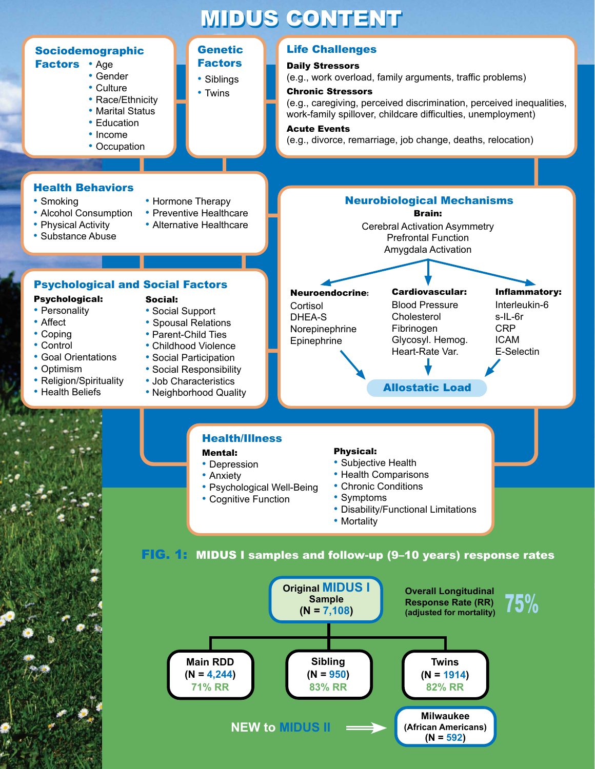# **MIDUS CONTENT**



#### FIG. 1: MIDUS I samples and follow-up (9–10 years) response rates

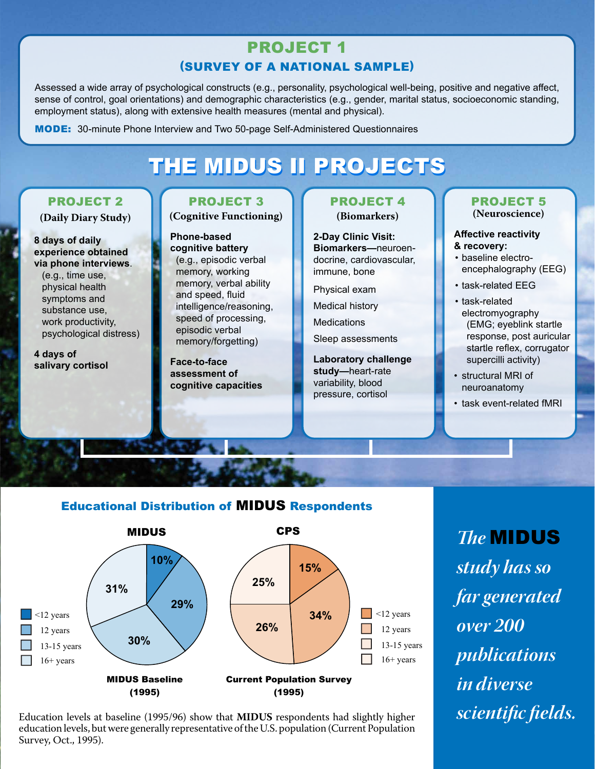# PROJECT 1 (SURVEY OF A NATIONAL SAMPLE)

Assessed a wide array of psychological constructs (e.g., personality, psychological well-being, positive and negative affect, sense of control, goal orientations) and demographic characteristics (e.g., gender, marital status, socioeconomic standing, employment status), along with extensive health measures (mental and physical).

MODE: 30-minute Phone Interview and Two 50-page Self-Administered Questionnaires

# THE MIDUS II PROJECTS

### PROJECT 2

**(Daily Diary Study)**

**8 days of daily experience obtained via phone interviews**.

(e.g., time use, physical health symptoms and substance use, work productivity, psychological distress)

**4 days of salivary cortisol**

### PROJECT 3

**(Cognitive Functioning)**

**Phone-based cognitive battery**  (e.g., episodic verbal memory, working memory, verbal ability and speed, fluid intelligence/reasoning, speed of processing, episodic verbal memory/forgetting)

**Face-to-face assessment of cognitive capacities**

#### PROJECT 4 **(Biomarkers)**

**2-Day Clinic Visit:**

**Biomarkers—**neuroendocrine, cardiovascular, immune, bone

Physical exam

Medical history

**Medications** 

Sleep assessments

**Laboratory challenge study—**heart-rate variability, blood pressure, cortisol

#### PROJECT 5 **(Neuroscience)**

#### **Affective reactivity & recovery:**

- baseline electroencephalography (EEG)
- task-related EEG
- task-related electromyography (EMG; eyeblink startle response, post auricular startle reflex, corrugator supercilli activity)
- structural MRI of neuroanatomy
- task event-related fMRI

### Educational Distribution of MIDUS Respondents



Education levels at baseline (1995/96) show that **MIDUS** respondents had slightly higher education levels, but were generally representative of the U.S. population (Current Population Survey, Oct., 1995).

*study has so far generated over 200 publications in diverse scientific fields.*